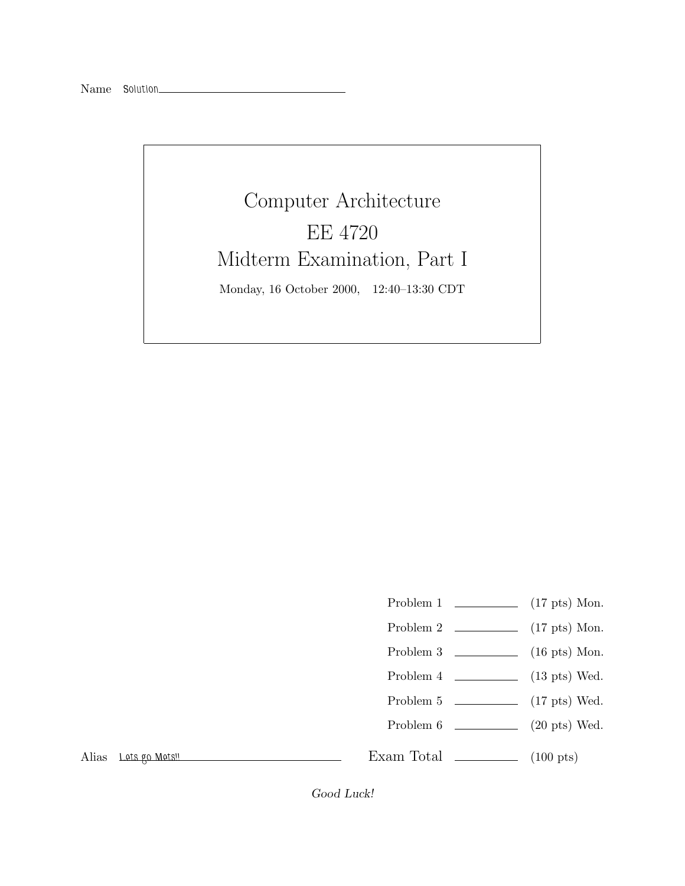## Computer Architecture EE 4720 Midterm Examination, Part I Monday, 16 October 2000, 12:40–13:30 CDT

- Problem 1 (17 pts) Mon.
- Problem 2 (17 pts) Mon.
- Problem 3  $\qquad \qquad$  (16 pts) Mon.
- Problem 4 (13 pts) Wed.
- Problem 5 (17 pts) Wed.
- Problem 6 (20 pts) Wed.

Alias *Lets go Mets!!*

Exam Total  $\qquad \qquad$  (100 pts)

*Good Luck!*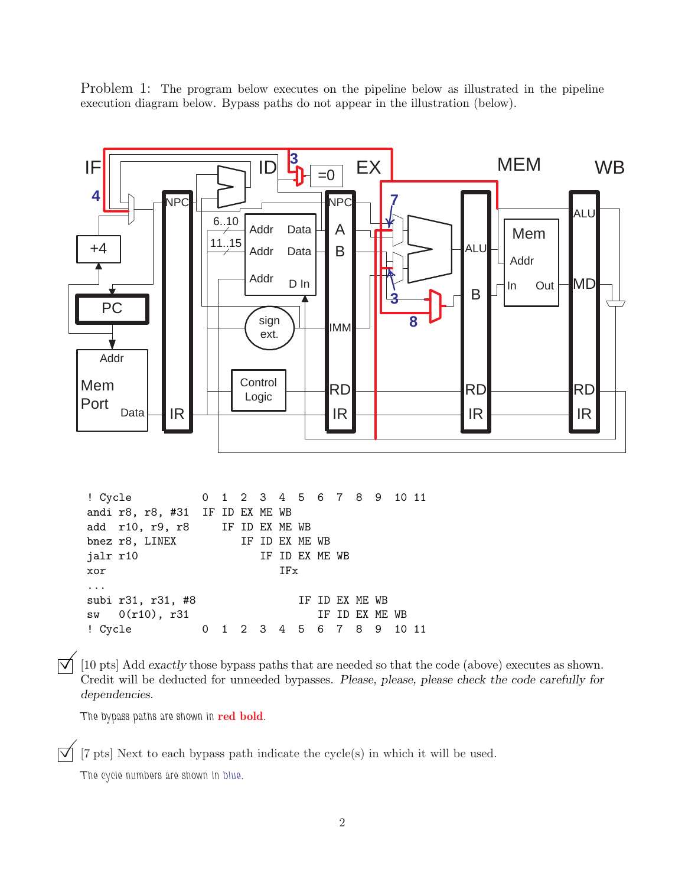Problem 1: The program below executes on the pipeline below as illustrated in the pipeline execution diagram below. Bypass paths do not appear in the illustration (below).



 $[\nabla]$  [10 pts] Add *exactly* those bypass paths that are needed so that the code (above) executes as shown. Credit will be deducted for unneeded bypasses. *Please, please, please check the code carefully for dependencies.*

*The bypass paths are shown in* **red bold***.*

 $[\vec{v}]$  [7 pts] Next to each bypass path indicate the cycle(s) in which it will be used.

*The cycle numbers are shown in blue.*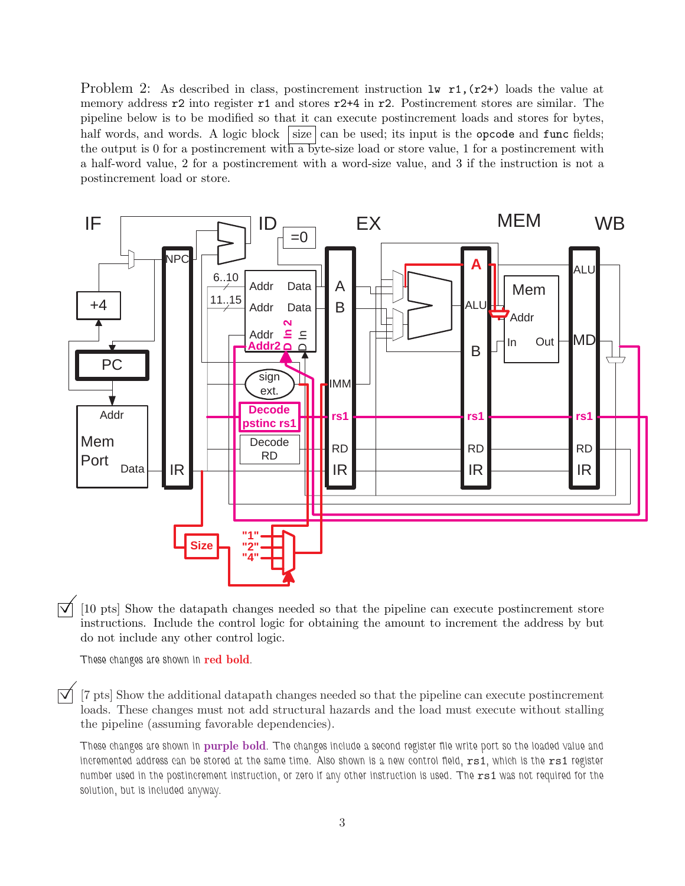Problem 2: As described in class, postincrement instruction  $\mathbf{1}\mathbf{v}$  r1, (r2+) loads the value at memory address  $r^2$  into register  $r^1$  and stores  $r^2+4$  in  $r^2$ . Postincrement stores are similar. The pipeline below is to be modified so that it can execute postincrement loads and stores for bytes, half words, and words. A logic block size can be used; its input is the opcode and func fields; the output is 0 for a postincrement with a byte-size load or store value, 1 for a postincrement with a half-word value, 2 for a postincrement with a word-size value, and 3 if the instruction is not a postincrement load or store.



[10 pts] Show the datapath changes needed so that the pipeline can execute postincrement store instructions. Include the control logic for obtaining the amount to increment the address by but do not include any other control logic.

*These changes are shown in* **red bold***.*

 $\vec{v}$  [7 pts] Show the additional datapath changes needed so that the pipeline can execute postincrement loads. These changes must not add structural hazards and the load must execute without stalling the pipeline (assuming favorable dependencies).

*These changes are shown in* **purple bold***. The changes include a second register file write port so the loaded value and incremented address can be stored at the same time. Also shown is a new control field,* rs1*, which is the* rs1 *register number used in the postincrement instruction, or zero if any other instruction is used. The rs1 was not required for the solution, but is included anyway.*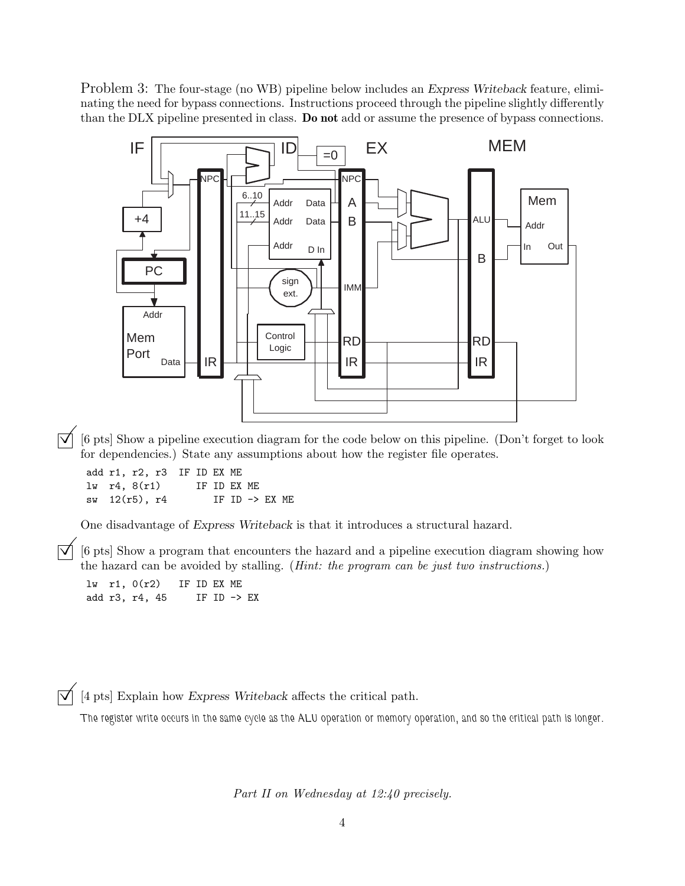Problem 3: The four-stage (no WB) pipeline below includes an *Express Writeback* feature, eliminating the need for bypass connections. Instructions proceed through the pipeline slightly differently than the DLX pipeline presented in class. **Do not** add or assume the presence of bypass connections.



©[6 pts] Show a pipeline execution diagram for the code below on this pipeline. (Don't forget to look for dependencies.) State any assumptions about how the register file operates.

add r1, r2, r3 IF ID EX ME  $lv$  r<sub>4</sub>,  $8(r1)$  IF ID EX ME sw 12(r5), r4 IF ID -> EX ME

One disadvantage of *Express Writeback* is that it introduces a structural hazard.

©[6 pts] Show a program that encounters the hazard and a pipeline execution diagram showing how the hazard can be avoided by stalling. (*Hint: the program can be just two instructions.*)

lw r1, 0(r2) IF ID EX ME add r3, r4, 45 IF ID -> EX

 $\boxed{\blacktriangledown}$  [4 pts] Explain how *Express Writeback* affects the critical path.

*The register write occurs in the same cycle as the ALU operation or memory operation, and so the critical path is longer.*

*Part II on Wednesday at 12:40 precisely.*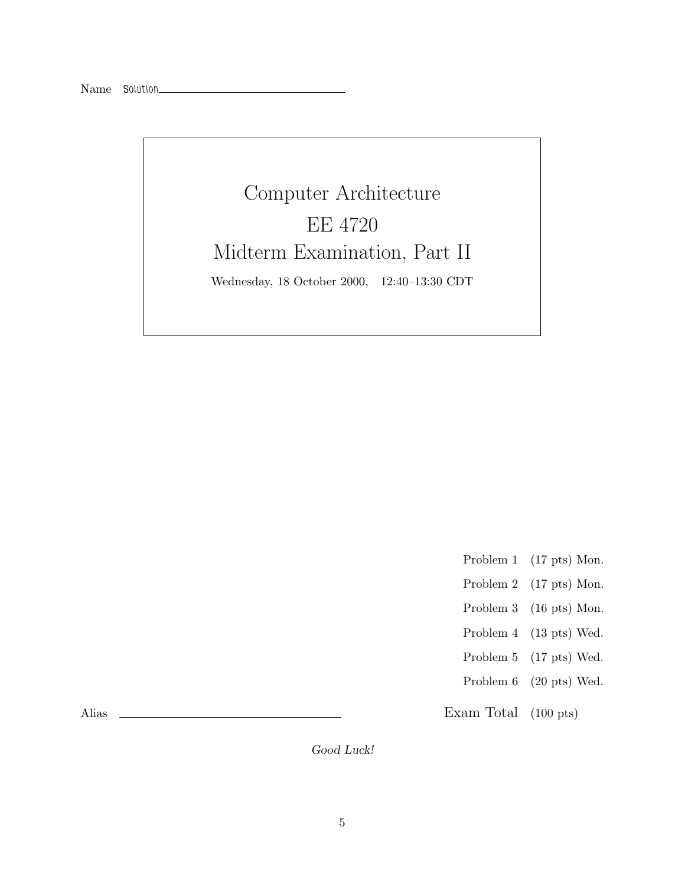## Computer Architecture EE 4720 Midterm Examination, Part II Wednesday, 18 October 2000, 12:40–13:30 CDT

- Problem 1 (17 pts) Mon.
- Problem 2 (17 pts) Mon.
- Problem 3 (16 pts) Mon.
- Problem 4 (13 pts) Wed.
- Problem 5 (17 pts) Wed.
- Problem 6 (20 pts) Wed.

Exam Total (100 pts)

Alias

*Good Luck!*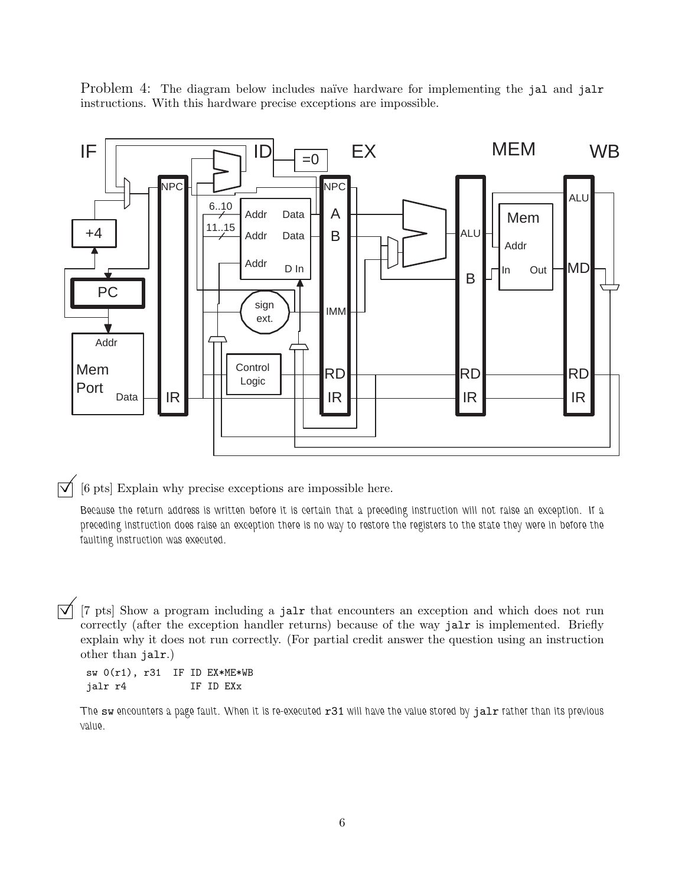Problem 4: The diagram below includes naïve hardware for implementing the jal and jalr instructions. With this hardware precise exceptions are impossible.



 $\overrightarrow{v}$  [6 pts] Explain why precise exceptions are impossible here.

*Because the return address is written before it is certain that a preceding instruction will not raise an exception. If a preceding instruction does raise an exception there is no way to restore the registers to the state they were in before the faulting instruction was executed.*

 $\overline{y}$  [7 pts] Show a program including a jalx that encounters an exception and which does not run correctly (after the exception handler returns) because of the way jalx is implemented. Briefly explain why it does not run correctly. (For partial credit answer the question using an instruction other than jalr.)

sw 0(r1), r31 IF ID EX\*ME\*WB jalr r4 IF ID EXx

The sw encounters a page fault. When it is re-executed r31 will have the value stored by jalr rather than its previous *value.*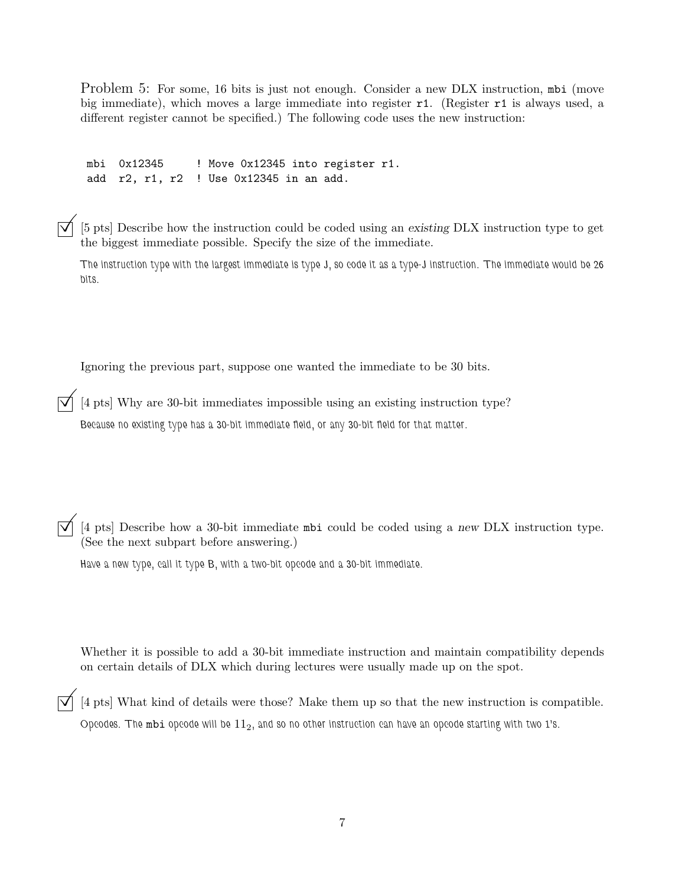Problem 5: For some, 16 bits is just not enough. Consider a new DLX instruction, mbi (move big immediate), which moves a large immediate into register r1. (Register r1 is always used, a different register cannot be specified.) The following code uses the new instruction:

mbi 0x12345 ! Move 0x12345 into register r1. add r2, r1, r2 ! Use 0x12345 in an add.

©[5 pts] Describe how the instruction could be coded using an *existing* DLX instruction type to get the biggest immediate possible. Specify the size of the immediate.

*The instruction type with the largest immediate is type J, so code it as a type-J instruction. The immediate would be 26 bits.*

Ignoring the previous part, suppose one wanted the immediate to be 30 bits.

 $\overline{\triangledown}$  [4 pts] Why are 30-bit immediates impossible using an existing instruction type? *Because no existing type has a 30-bit immediate field, or any 30-bit field for that matter.*

©[4 pts] Describe how a 30-bit immediate mbi could be coded using a *new* DLX instruction type. (See the next subpart before answering.)

*Have a new type, call it type B, with a two-bit opcode and a 30-bit immediate.*

Whether it is possible to add a 30-bit immediate instruction and maintain compatibility depends on certain details of DLX which during lectures were usually made up on the spot.

 $\overrightarrow{v}$  [4 pts] What kind of details were those? Make them up so that the new instruction is compatible. *Opcodes. The* mbi *opcode will be* 112*, and so no other instruction can have an opcode starting with two 1's.*